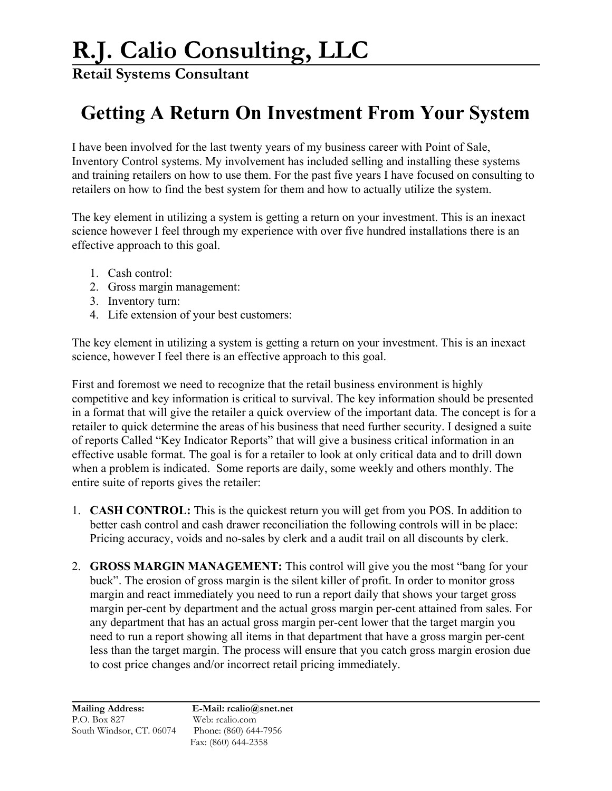**Retail Systems Consultant**

## **Getting A Return On Investment From Your System**

I have been involved for the last twenty years of my business career with Point of Sale, Inventory Control systems. My involvement has included selling and installing these systems and training retailers on how to use them. For the past five years I have focused on consulting to retailers on how to find the best system for them and how to actually utilize the system.

The key element in utilizing a system is getting a return on your investment. This is an inexact science however I feel through my experience with over five hundred installations there is an effective approach to this goal.

- 1. Cash control:
- 2. Gross margin management:
- 3. Inventory turn:
- 4. Life extension of your best customers:

The key element in utilizing a system is getting a return on your investment. This is an inexact science, however I feel there is an effective approach to this goal.

First and foremost we need to recognize that the retail business environment is highly competitive and key information is critical to survival. The key information should be presented in a format that will give the retailer a quick overview of the important data. The concept is for a retailer to quick determine the areas of his business that need further security. I designed a suite of reports Called "Key Indicator Reports" that will give a business critical information in an effective usable format. The goal is for a retailer to look at only critical data and to drill down when a problem is indicated. Some reports are daily, some weekly and others monthly. The entire suite of reports gives the retailer:

- 1. **CASH CONTROL:** This is the quickest return you will get from you POS. In addition to better cash control and cash drawer reconciliation the following controls will in be place: Pricing accuracy, voids and no-sales by clerk and a audit trail on all discounts by clerk.
- 2. **GROSS MARGIN MANAGEMENT:** This control will give you the most "bang for your buck". The erosion of gross margin is the silent killer of profit. In order to monitor gross margin and react immediately you need to run a report daily that shows your target gross margin per-cent by department and the actual gross margin per-cent attained from sales. For any department that has an actual gross margin per-cent lower that the target margin you need to run a report showing all items in that department that have a gross margin per-cent less than the target margin. The process will ensure that you catch gross margin erosion due to cost price changes and/or incorrect retail pricing immediately.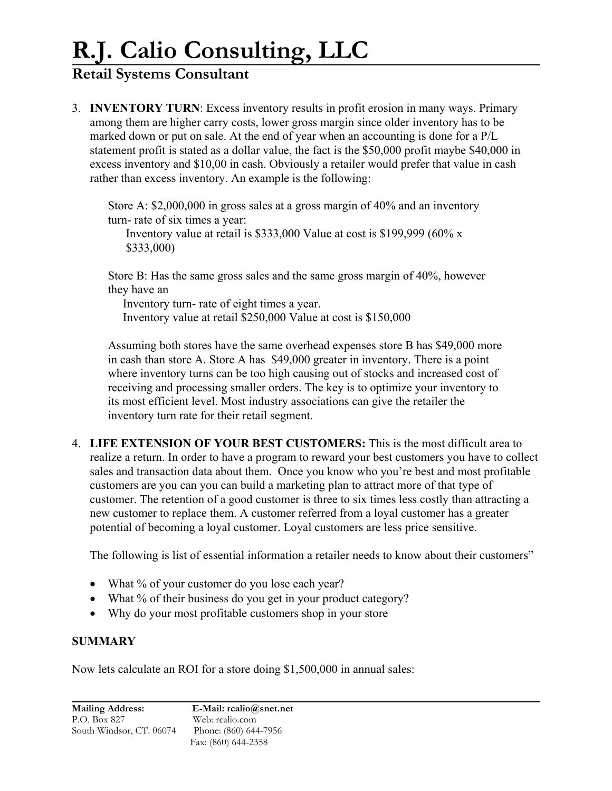# **R.J. Calio Consulting, LLC**

### **Retail Systems Consultant**

3. **INVENTORY TURN**: Excess inventory results in profit erosion in many ways. Primary among them are higher carry costs, lower gross margin since older inventory has to be marked down or put on sale. At the end of year when an accounting is done for a P/L statement profit is stated as a dollar value, the fact is the \$50,000 profit maybe \$40,000 in excess inventory and \$10,00 in cash. Obviously a retailer would prefer that value in cash rather than excess inventory. An example is the following:

Store A: \$2,000,000 in gross sales at a gross margin of 40% and an inventory turn- rate of six times a year:

Inventory value at retail is \$333,000 Value at cost is \$199,999 (60% x \$333,000)

Store B: Has the same gross sales and the same gross margin of 40%, however they have an

 Inventory turn- rate of eight times a year. Inventory value at retail \$250,000 Value at cost is \$150,000

Assuming both stores have the same overhead expenses store B has \$49,000 more in cash than store A. Store A has \$49,000 greater in inventory. There is a point where inventory turns can be too high causing out of stocks and increased cost of receiving and processing smaller orders. The key is to optimize your inventory to its most efficient level. Most industry associations can give the retailer the inventory turn rate for their retail segment.

4. **LIFE EXTENSION OF YOUR BEST CUSTOMERS:** This is the most difficult area to realize a return. In order to have a program to reward your best customers you have to collect sales and transaction data about them. Once you know who you're best and most profitable customers are you can you can build a marketing plan to attract more of that type of customer. The retention of a good customer is three to six times less costly than attracting a new customer to replace them. A customer referred from a loyal customer has a greater potential of becoming a loyal customer. Loyal customers are less price sensitive.

The following is list of essential information a retailer needs to know about their customers"

- What % of your customer do you lose each year?
- What % of their business do you get in your product category?
- Why do your most profitable customers shop in your store

#### **SUMMARY**

Now lets calculate an ROI for a store doing \$1,500,000 in annual sales: